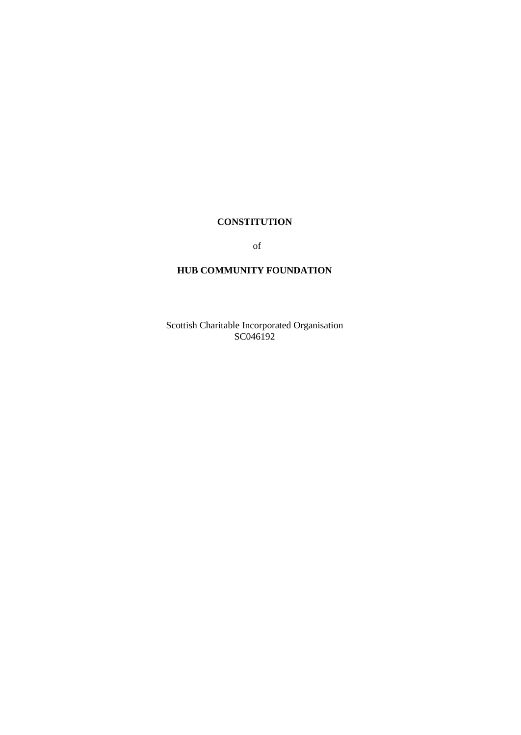## **CONSTITUTION**

of

## **HUB COMMUNITY FOUNDATION**

Scottish Charitable Incorporated Organisation SC046192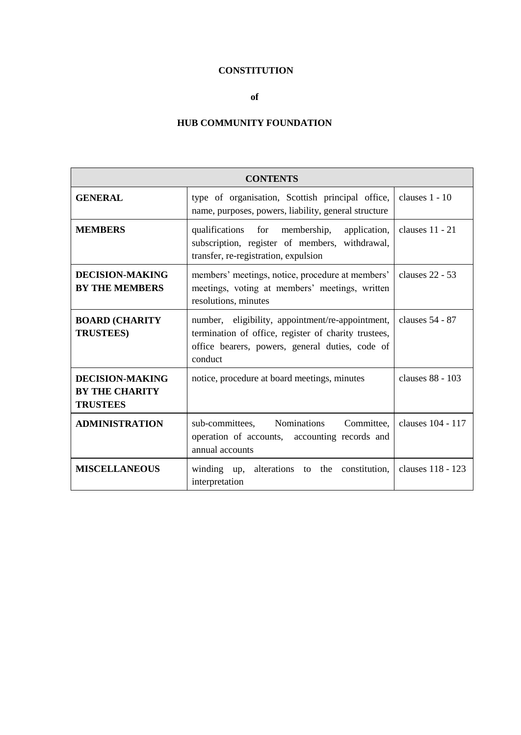# **CONSTITUTION**

## **of**

## **HUB COMMUNITY FOUNDATION**

| <b>CONTENTS</b>                                                    |                                                                                                                                                                        |                   |
|--------------------------------------------------------------------|------------------------------------------------------------------------------------------------------------------------------------------------------------------------|-------------------|
| <b>GENERAL</b>                                                     | type of organisation, Scottish principal office,<br>name, purposes, powers, liability, general structure                                                               | clauses $1 - 10$  |
| <b>MEMBERS</b>                                                     | qualifications for membership,<br>application,<br>subscription, register of members, withdrawal,<br>transfer, re-registration, expulsion                               | clauses $11 - 21$ |
| <b>DECISION-MAKING</b><br><b>BY THE MEMBERS</b>                    | members' meetings, notice, procedure at members'<br>meetings, voting at members' meetings, written<br>resolutions, minutes                                             | clauses $22 - 53$ |
| <b>BOARD (CHARITY</b><br><b>TRUSTEES)</b>                          | number, eligibility, appointment/re-appointment,<br>termination of office, register of charity trustees,<br>office bearers, powers, general duties, code of<br>conduct | clauses 54 - 87   |
| <b>DECISION-MAKING</b><br><b>BY THE CHARITY</b><br><b>TRUSTEES</b> | notice, procedure at board meetings, minutes                                                                                                                           | clauses 88 - 103  |
| <b>ADMINISTRATION</b>                                              | sub-committees, Nominations<br>Committee,<br>operation of accounts, accounting records and<br>annual accounts                                                          | clauses 104 - 117 |
| <b>MISCELLANEOUS</b>                                               | winding up,<br>alterations to the constitution,<br>interpretation                                                                                                      | clauses 118 - 123 |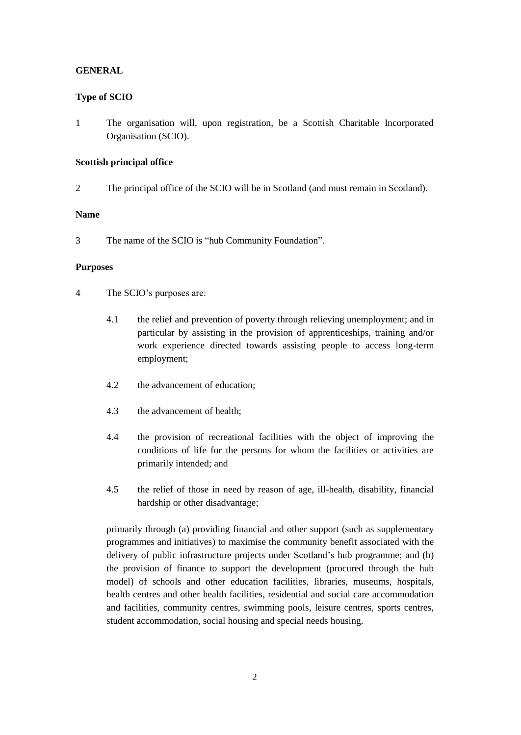## **GENERAL**

## **Type of SCIO**

1 The organisation will, upon registration, be a Scottish Charitable Incorporated Organisation (SCIO).

## **Scottish principal office**

2 The principal office of the SCIO will be in Scotland (and must remain in Scotland).

## **Name**

3 The name of the SCIO is "hub Community Foundation".

## **Purposes**

- 4 The SCIO's purposes are:
	- 4.1 the relief and prevention of poverty through relieving unemployment; and in particular by assisting in the provision of apprenticeships, training and/or work experience directed towards assisting people to access long-term employment;
	- 4.2 the advancement of education;
	- 4.3 the advancement of health;
	- 4.4 the provision of recreational facilities with the object of improving the conditions of life for the persons for whom the facilities or activities are primarily intended; and
	- 4.5 the relief of those in need by reason of age, ill-health, disability, financial hardship or other disadvantage;

primarily through (a) providing financial and other support (such as supplementary programmes and initiatives) to maximise the community benefit associated with the delivery of public infrastructure projects under Scotland's hub programme; and (b) the provision of finance to support the development (procured through the hub model) of schools and other education facilities, libraries, museums, hospitals, health centres and other health facilities, residential and social care accommodation and facilities, community centres, swimming pools, leisure centres, sports centres, student accommodation, social housing and special needs housing.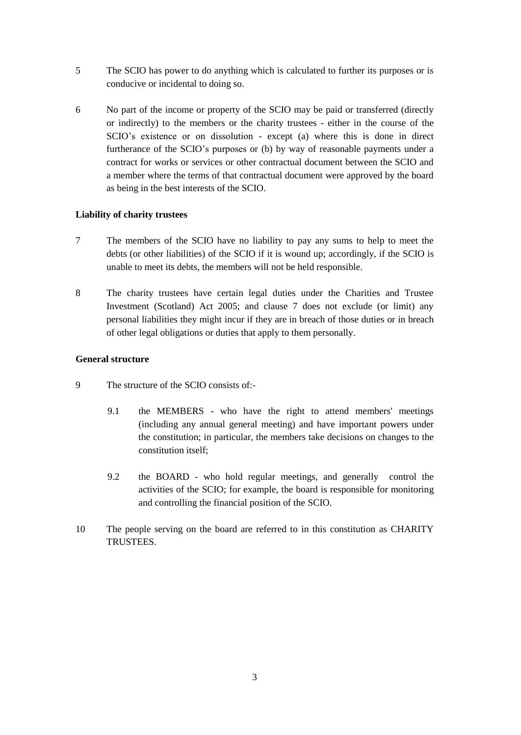- 5 The SCIO has power to do anything which is calculated to further its purposes or is conducive or incidental to doing so.
- 6 No part of the income or property of the SCIO may be paid or transferred (directly or indirectly) to the members or the charity trustees - either in the course of the SCIO's existence or on dissolution - except (a) where this is done in direct furtherance of the SCIO's purposes or (b) by way of reasonable payments under a contract for works or services or other contractual document between the SCIO and a member where the terms of that contractual document were approved by the board as being in the best interests of the SCIO.

## **Liability of charity trustees**

- 7 The members of the SCIO have no liability to pay any sums to help to meet the debts (or other liabilities) of the SCIO if it is wound up; accordingly, if the SCIO is unable to meet its debts, the members will not be held responsible.
- 8 The charity trustees have certain legal duties under the Charities and Trustee Investment (Scotland) Act 2005; and clause 7 does not exclude (or limit) any personal liabilities they might incur if they are in breach of those duties or in breach of other legal obligations or duties that apply to them personally.

## **General structure**

- 9 The structure of the SCIO consists of:-
	- 9.1 the MEMBERS who have the right to attend members' meetings (including any annual general meeting) and have important powers under the constitution; in particular, the members take decisions on changes to the constitution itself;
	- 9.2 the BOARD who hold regular meetings, and generally control the activities of the SCIO; for example, the board is responsible for monitoring and controlling the financial position of the SCIO.
- 10 The people serving on the board are referred to in this constitution as CHARITY **TRUSTEES**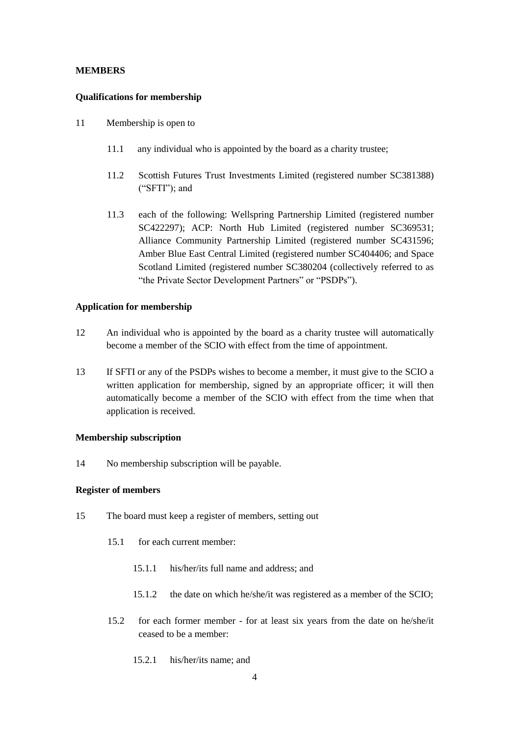#### **MEMBERS**

#### **Qualifications for membership**

- 11 Membership is open to
	- 11.1 any individual who is appointed by the board as a charity trustee;
	- 11.2 Scottish Futures Trust Investments Limited (registered number SC381388) ("SFTI"); and
	- 11.3 each of the following: Wellspring Partnership Limited (registered number SC422297); ACP: North Hub Limited (registered number SC369531; Alliance Community Partnership Limited (registered number SC431596; Amber Blue East Central Limited (registered number SC404406; and Space Scotland Limited (registered number SC380204 (collectively referred to as "the Private Sector Development Partners" or "PSDPs").

#### **Application for membership**

- 12 An individual who is appointed by the board as a charity trustee will automatically become a member of the SCIO with effect from the time of appointment.
- 13 If SFTI or any of the PSDPs wishes to become a member, it must give to the SCIO a written application for membership, signed by an appropriate officer; it will then automatically become a member of the SCIO with effect from the time when that application is received.

### **Membership subscription**

14 No membership subscription will be payable.

#### **Register of members**

- 15 The board must keep a register of members, setting out
	- 15.1 for each current member:
		- 15.1.1 his/her/its full name and address; and
		- 15.1.2 the date on which he/she/it was registered as a member of the SCIO;
	- 15.2 for each former member for at least six years from the date on he/she/it ceased to be a member:
		- 15.2.1 his/her/its name; and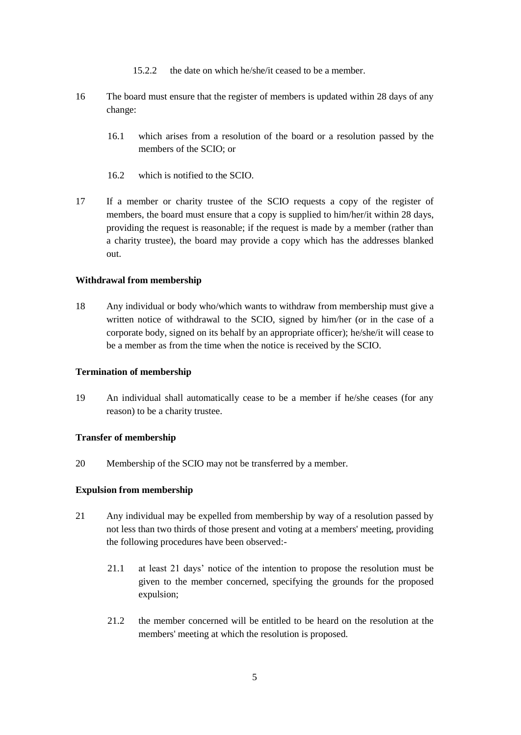- 15.2.2 the date on which he/she/it ceased to be a member.
- 16 The board must ensure that the register of members is updated within 28 days of any change:
	- 16.1 which arises from a resolution of the board or a resolution passed by the members of the SCIO; or
	- 16.2 which is notified to the SCIO.
- 17 If a member or charity trustee of the SCIO requests a copy of the register of members, the board must ensure that a copy is supplied to him/her/it within 28 days, providing the request is reasonable; if the request is made by a member (rather than a charity trustee), the board may provide a copy which has the addresses blanked out.

#### **Withdrawal from membership**

18 Any individual or body who/which wants to withdraw from membership must give a written notice of withdrawal to the SCIO, signed by him/her (or in the case of a corporate body, signed on its behalf by an appropriate officer); he/she/it will cease to be a member as from the time when the notice is received by the SCIO.

#### **Termination of membership**

19 An individual shall automatically cease to be a member if he/she ceases (for any reason) to be a charity trustee.

#### **Transfer of membership**

20 Membership of the SCIO may not be transferred by a member.

## **Expulsion from membership**

- 21 Any individual may be expelled from membership by way of a resolution passed by not less than two thirds of those present and voting at a members' meeting, providing the following procedures have been observed:-
	- 21.1 at least 21 days' notice of the intention to propose the resolution must be given to the member concerned, specifying the grounds for the proposed expulsion;
	- 21.2 the member concerned will be entitled to be heard on the resolution at the members' meeting at which the resolution is proposed.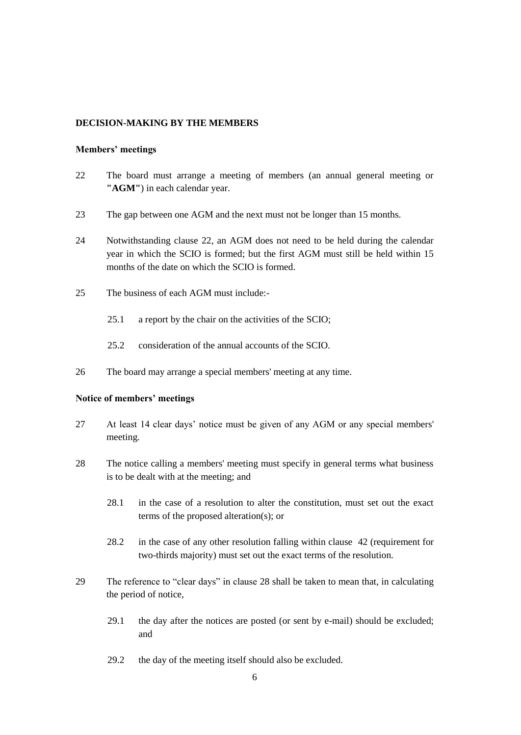### **DECISION-MAKING BY THE MEMBERS**

### **Members' meetings**

- 22 The board must arrange a meeting of members (an annual general meeting or **"AGM"**) in each calendar year.
- 23 The gap between one AGM and the next must not be longer than 15 months.
- 24 Notwithstanding clause 22, an AGM does not need to be held during the calendar year in which the SCIO is formed; but the first AGM must still be held within 15 months of the date on which the SCIO is formed.
- 25 The business of each AGM must include:-
	- 25.1 a report by the chair on the activities of the SCIO;
	- 25.2 consideration of the annual accounts of the SCIO.
- 26 The board may arrange a special members' meeting at any time.

## **Notice of members' meetings**

- 27 At least 14 clear days' notice must be given of any AGM or any special members' meeting.
- 28 The notice calling a members' meeting must specify in general terms what business is to be dealt with at the meeting; and
	- 28.1 in the case of a resolution to alter the constitution, must set out the exact terms of the proposed alteration(s); or
	- 28.2 in the case of any other resolution falling within clause 42 (requirement for two-thirds majority) must set out the exact terms of the resolution.
- 29 The reference to "clear days" in clause 28 shall be taken to mean that, in calculating the period of notice,
	- 29.1 the day after the notices are posted (or sent by e-mail) should be excluded; and
	- 29.2 the day of the meeting itself should also be excluded.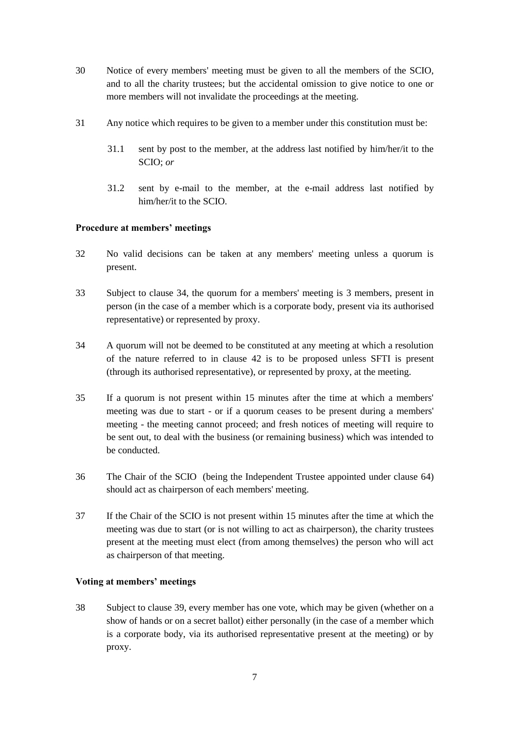- 30 Notice of every members' meeting must be given to all the members of the SCIO, and to all the charity trustees; but the accidental omission to give notice to one or more members will not invalidate the proceedings at the meeting.
- 31 Any notice which requires to be given to a member under this constitution must be:
	- 31.1 sent by post to the member, at the address last notified by him/her/it to the SCIO; *or*
	- 31.2 sent by e-mail to the member, at the e-mail address last notified by him/her/it to the SCIO.

## **Procedure at members' meetings**

- 32 No valid decisions can be taken at any members' meeting unless a quorum is present.
- 33 Subject to clause 34, the quorum for a members' meeting is 3 members, present in person (in the case of a member which is a corporate body, present via its authorised representative) or represented by proxy.
- 34 A quorum will not be deemed to be constituted at any meeting at which a resolution of the nature referred to in clause 42 is to be proposed unless SFTI is present (through its authorised representative), or represented by proxy, at the meeting.
- 35 If a quorum is not present within 15 minutes after the time at which a members' meeting was due to start - or if a quorum ceases to be present during a members' meeting - the meeting cannot proceed; and fresh notices of meeting will require to be sent out, to deal with the business (or remaining business) which was intended to be conducted.
- 36 The Chair of the SCIO (being the Independent Trustee appointed under clause 64) should act as chairperson of each members' meeting.
- 37 If the Chair of the SCIO is not present within 15 minutes after the time at which the meeting was due to start (or is not willing to act as chairperson), the charity trustees present at the meeting must elect (from among themselves) the person who will act as chairperson of that meeting.

## **Voting at members' meetings**

38 Subject to clause 39, every member has one vote, which may be given (whether on a show of hands or on a secret ballot) either personally (in the case of a member which is a corporate body, via its authorised representative present at the meeting) or by proxy.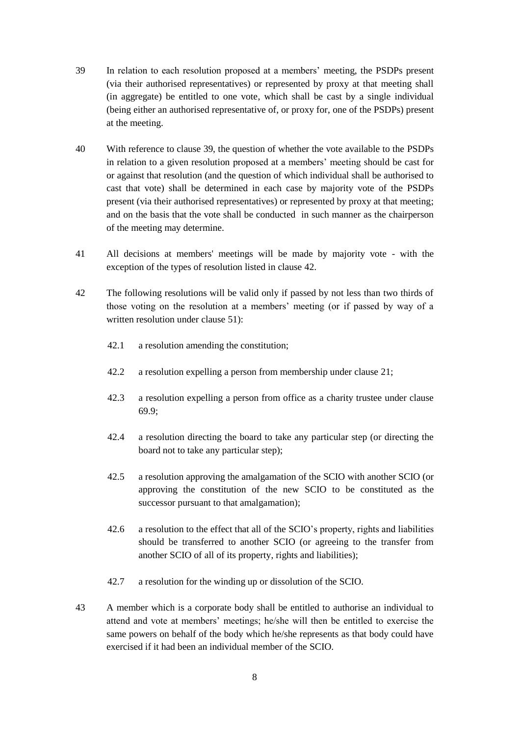- 39 In relation to each resolution proposed at a members' meeting, the PSDPs present (via their authorised representatives) or represented by proxy at that meeting shall (in aggregate) be entitled to one vote, which shall be cast by a single individual (being either an authorised representative of, or proxy for, one of the PSDPs) present at the meeting.
- 40 With reference to clause 39, the question of whether the vote available to the PSDPs in relation to a given resolution proposed at a members' meeting should be cast for or against that resolution (and the question of which individual shall be authorised to cast that vote) shall be determined in each case by majority vote of the PSDPs present (via their authorised representatives) or represented by proxy at that meeting; and on the basis that the vote shall be conducted in such manner as the chairperson of the meeting may determine.
- 41 All decisions at members' meetings will be made by majority vote with the exception of the types of resolution listed in clause 42.
- 42 The following resolutions will be valid only if passed by not less than two thirds of those voting on the resolution at a members' meeting (or if passed by way of a written resolution under clause 51):
	- 42.1 a resolution amending the constitution;
	- 42.2 a resolution expelling a person from membership under clause 21;
	- 42.3 a resolution expelling a person from office as a charity trustee under clause 69.9;
	- 42.4 a resolution directing the board to take any particular step (or directing the board not to take any particular step);
	- 42.5 a resolution approving the amalgamation of the SCIO with another SCIO (or approving the constitution of the new SCIO to be constituted as the successor pursuant to that amalgamation);
	- 42.6 a resolution to the effect that all of the SCIO's property, rights and liabilities should be transferred to another SCIO (or agreeing to the transfer from another SCIO of all of its property, rights and liabilities);
	- 42.7 a resolution for the winding up or dissolution of the SCIO.
- 43 A member which is a corporate body shall be entitled to authorise an individual to attend and vote at members' meetings; he/she will then be entitled to exercise the same powers on behalf of the body which he/she represents as that body could have exercised if it had been an individual member of the SCIO.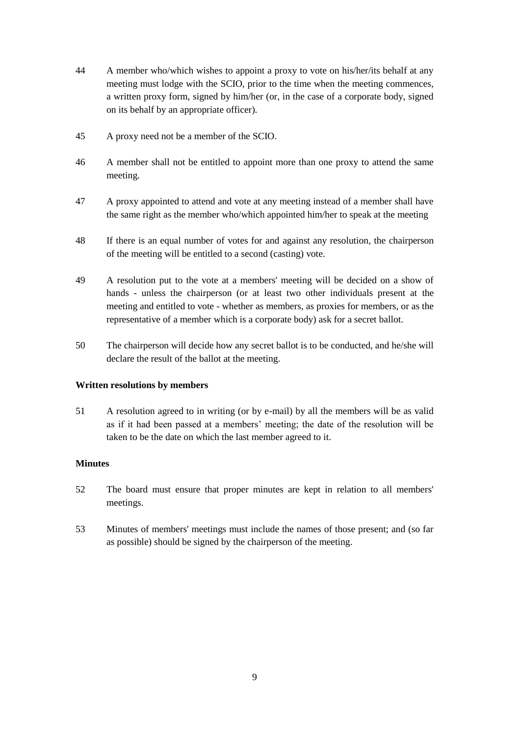- 44 A member who/which wishes to appoint a proxy to vote on his/her/its behalf at any meeting must lodge with the SCIO, prior to the time when the meeting commences, a written proxy form, signed by him/her (or, in the case of a corporate body, signed on its behalf by an appropriate officer).
- 45 A proxy need not be a member of the SCIO.
- 46 A member shall not be entitled to appoint more than one proxy to attend the same meeting.
- 47 A proxy appointed to attend and vote at any meeting instead of a member shall have the same right as the member who/which appointed him/her to speak at the meeting
- 48 If there is an equal number of votes for and against any resolution, the chairperson of the meeting will be entitled to a second (casting) vote.
- 49 A resolution put to the vote at a members' meeting will be decided on a show of hands - unless the chairperson (or at least two other individuals present at the meeting and entitled to vote - whether as members, as proxies for members, or as the representative of a member which is a corporate body) ask for a secret ballot.
- 50 The chairperson will decide how any secret ballot is to be conducted, and he/she will declare the result of the ballot at the meeting.

## **Written resolutions by members**

51 A resolution agreed to in writing (or by e-mail) by all the members will be as valid as if it had been passed at a members' meeting; the date of the resolution will be taken to be the date on which the last member agreed to it.

## **Minutes**

- 52 The board must ensure that proper minutes are kept in relation to all members' meetings.
- 53 Minutes of members' meetings must include the names of those present; and (so far as possible) should be signed by the chairperson of the meeting.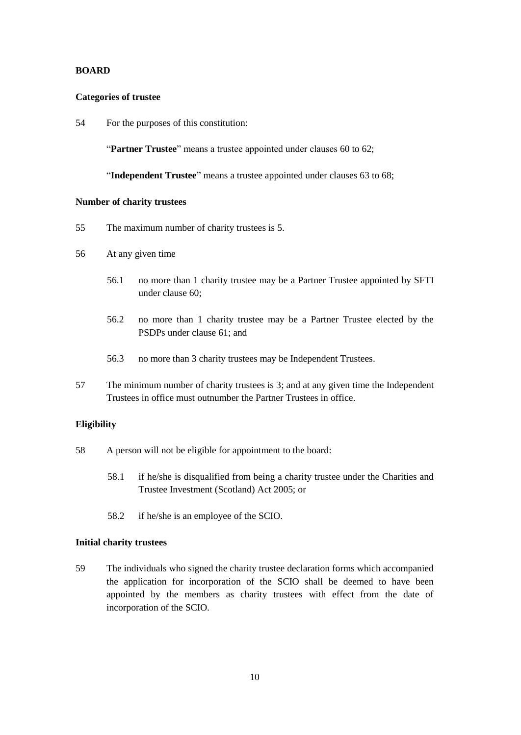### **BOARD**

#### **Categories of trustee**

54 For the purposes of this constitution:

"**Partner Trustee**" means a trustee appointed under clauses 60 to 62;

"**Independent Trustee**" means a trustee appointed under clauses 63 to 68;

#### **Number of charity trustees**

- 55 The maximum number of charity trustees is 5.
- 56 At any given time
	- 56.1 no more than 1 charity trustee may be a Partner Trustee appointed by SFTI under clause 60;
	- 56.2 no more than 1 charity trustee may be a Partner Trustee elected by the PSDPs under clause 61; and
	- 56.3 no more than 3 charity trustees may be Independent Trustees.
- 57 The minimum number of charity trustees is 3; and at any given time the Independent Trustees in office must outnumber the Partner Trustees in office.

## **Eligibility**

- 58 A person will not be eligible for appointment to the board:
	- 58.1 if he/she is disqualified from being a charity trustee under the Charities and Trustee Investment (Scotland) Act 2005; or
	- 58.2 if he/she is an employee of the SCIO.

## **Initial charity trustees**

59 The individuals who signed the charity trustee declaration forms which accompanied the application for incorporation of the SCIO shall be deemed to have been appointed by the members as charity trustees with effect from the date of incorporation of the SCIO.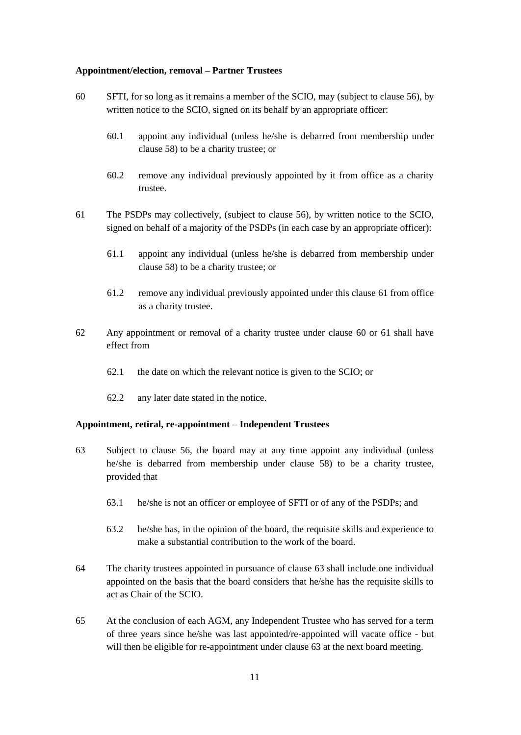#### **Appointment/election, removal – Partner Trustees**

- 60 SFTI, for so long as it remains a member of the SCIO, may (subject to clause 56), by written notice to the SCIO, signed on its behalf by an appropriate officer:
	- 60.1 appoint any individual (unless he/she is debarred from membership under clause 58) to be a charity trustee; or
	- 60.2 remove any individual previously appointed by it from office as a charity trustee.
- 61 The PSDPs may collectively, (subject to clause 56), by written notice to the SCIO, signed on behalf of a majority of the PSDPs (in each case by an appropriate officer):
	- 61.1 appoint any individual (unless he/she is debarred from membership under clause 58) to be a charity trustee; or
	- 61.2 remove any individual previously appointed under this clause 61 from office as a charity trustee.
- 62 Any appointment or removal of a charity trustee under clause 60 or 61 shall have effect from
	- 62.1 the date on which the relevant notice is given to the SCIO; or
	- 62.2 any later date stated in the notice.

## **Appointment, retiral, re-appointment – Independent Trustees**

- <span id="page-11-0"></span>63 Subject to clause 56, the board may at any time appoint any individual (unless he/she is debarred from membership under clause 58) to be a charity trustee, provided that
	- 63.1 he/she is not an officer or employee of SFTI or of any of the PSDPs; and
	- 63.2 he/she has, in the opinion of the board, the requisite skills and experience to make a substantial contribution to the work of the board.
- 64 The charity trustees appointed in pursuance of clause 63 shall include one individual appointed on the basis that the board considers that he/she has the requisite skills to act as Chair of the SCIO.
- 65 At the conclusion of each AGM, any Independent Trustee who has served for a term of three years since he/she was last appointed/re-appointed will vacate office - but will then be eligible for re-appointment under clause 63 at the next board meeting.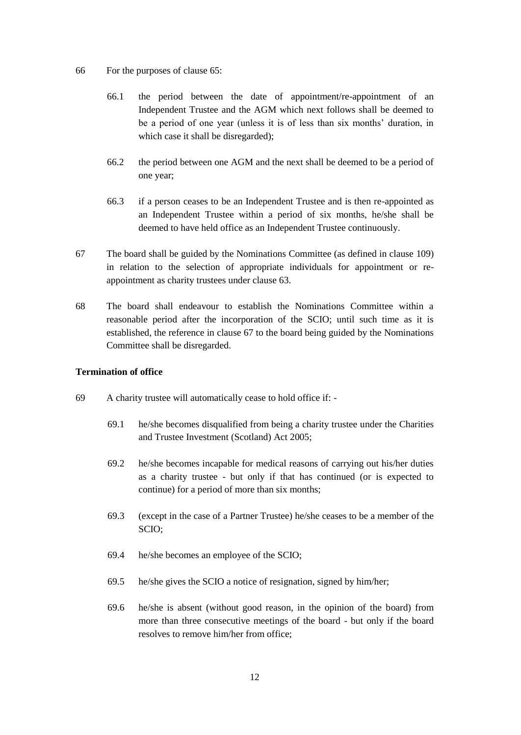- 66 For the purposes of clause 65:
	- 66.1 the period between the date of appointment/re-appointment of an Independent Trustee and the AGM which next follows shall be deemed to be a period of one year (unless it is of less than six months' duration, in which case it shall be disregarded);
	- 66.2 the period between one AGM and the next shall be deemed to be a period of one year;
	- 66.3 if a person ceases to be an Independent Trustee and is then re-appointed as an Independent Trustee within a period of six months, he/she shall be deemed to have held office as an Independent Trustee continuously.
- <span id="page-12-0"></span>67 The board shall be guided by the Nominations Committee (as defined in clause [109\)](#page-19-0) in relation to the selection of appropriate individuals for appointment or reappointment as charity trustees under clause [63.](#page-11-0)
- 68 The board shall endeavour to establish the Nominations Committee within a reasonable period after the incorporation of the SCIO; until such time as it is established, the reference in clause [67](#page-12-0) to the board being guided by the Nominations Committee shall be disregarded.

## **Termination of office**

- 69 A charity trustee will automatically cease to hold office if:
	- 69.1 he/she becomes disqualified from being a charity trustee under the Charities and Trustee Investment (Scotland) Act 2005;
	- 69.2 he/she becomes incapable for medical reasons of carrying out his/her duties as a charity trustee - but only if that has continued (or is expected to continue) for a period of more than six months;
	- 69.3 (except in the case of a Partner Trustee) he/she ceases to be a member of the SCIO;
	- 69.4 he/she becomes an employee of the SCIO;
	- 69.5 he/she gives the SCIO a notice of resignation, signed by him/her;
	- 69.6 he/she is absent (without good reason, in the opinion of the board) from more than three consecutive meetings of the board - but only if the board resolves to remove him/her from office;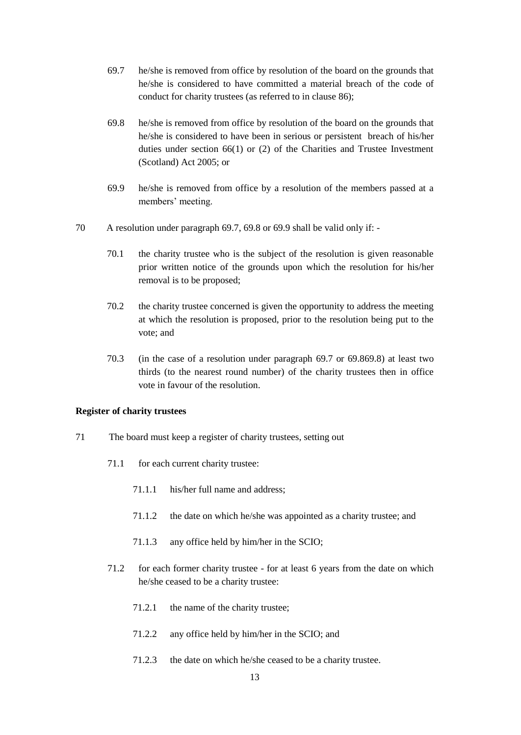- <span id="page-13-0"></span>69.7 he/she is removed from office by resolution of the board on the grounds that he/she is considered to have committed a material breach of the code of conduct for charity trustees (as referred to in clause 86);
- <span id="page-13-1"></span>69.8 he/she is removed from office by resolution of the board on the grounds that he/she is considered to have been in serious or persistent breach of his/her duties under section 66(1) or (2) of the Charities and Trustee Investment (Scotland) Act 2005; or
- <span id="page-13-2"></span>69.9 he/she is removed from office by a resolution of the members passed at a members' meeting.
- 70 A resolution under paragraph [69.7,](#page-13-0) [69.8](#page-13-1) or [69.9](#page-13-2) shall be valid only if:
	- 70.1 the charity trustee who is the subject of the resolution is given reasonable prior written notice of the grounds upon which the resolution for his/her removal is to be proposed;
	- 70.2 the charity trustee concerned is given the opportunity to address the meeting at which the resolution is proposed, prior to the resolution being put to the vote; and
	- 70.3 (in the case of a resolution under paragraph [69.7](#page-13-0) or [69.869.8\)](#page-13-1) at least two thirds (to the nearest round number) of the charity trustees then in office vote in favour of the resolution.

#### **Register of charity trustees**

- 71 The board must keep a register of charity trustees, setting out
	- 71.1 for each current charity trustee:
		- 71.1.1 his/her full name and address;
		- 71.1.2 the date on which he/she was appointed as a charity trustee; and
		- 71.1.3 any office held by him/her in the SCIO;
	- 71.2 for each former charity trustee for at least 6 years from the date on which he/she ceased to be a charity trustee:
		- 71.2.1 the name of the charity trustee;
		- 71.2.2 any office held by him/her in the SCIO; and
		- 71.2.3 the date on which he/she ceased to be a charity trustee.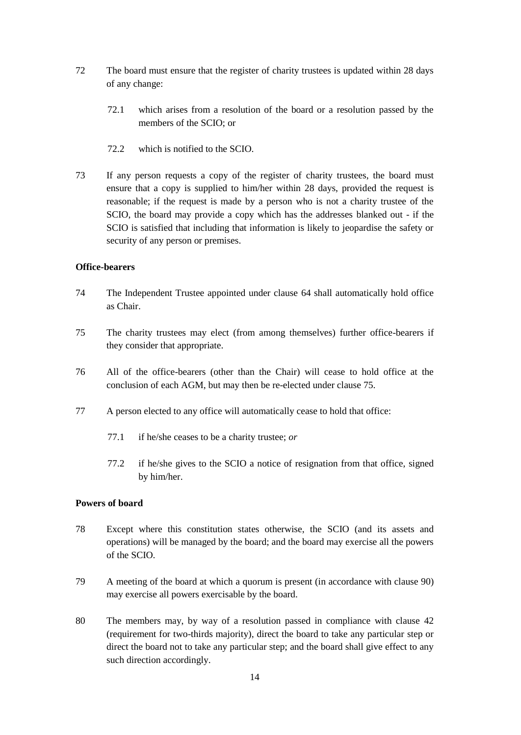- 72 The board must ensure that the register of charity trustees is updated within 28 days of any change:
	- 72.1 which arises from a resolution of the board or a resolution passed by the members of the SCIO; or
	- 72.2 which is notified to the SCIO.
- 73 If any person requests a copy of the register of charity trustees, the board must ensure that a copy is supplied to him/her within 28 days, provided the request is reasonable; if the request is made by a person who is not a charity trustee of the SCIO, the board may provide a copy which has the addresses blanked out - if the SCIO is satisfied that including that information is likely to jeopardise the safety or security of any person or premises.

## **Office-bearers**

- 74 The Independent Trustee appointed under clause 64 shall automatically hold office as Chair.
- <span id="page-14-0"></span>75 The charity trustees may elect (from among themselves) further office-bearers if they consider that appropriate.
- 76 All of the office-bearers (other than the Chair) will cease to hold office at the conclusion of each AGM, but may then be re-elected under clause [75.](#page-14-0)
- 77 A person elected to any office will automatically cease to hold that office:
	- 77.1 if he/she ceases to be a charity trustee; *or*
	- 77.2 if he/she gives to the SCIO a notice of resignation from that office, signed by him/her.

## **Powers of board**

- 78 Except where this constitution states otherwise, the SCIO (and its assets and operations) will be managed by the board; and the board may exercise all the powers of the SCIO.
- 79 A meeting of the board at which a quorum is present (in accordance with clause 90) may exercise all powers exercisable by the board.
- 80 The members may, by way of a resolution passed in compliance with clause 42 (requirement for two-thirds majority), direct the board to take any particular step or direct the board not to take any particular step; and the board shall give effect to any such direction accordingly.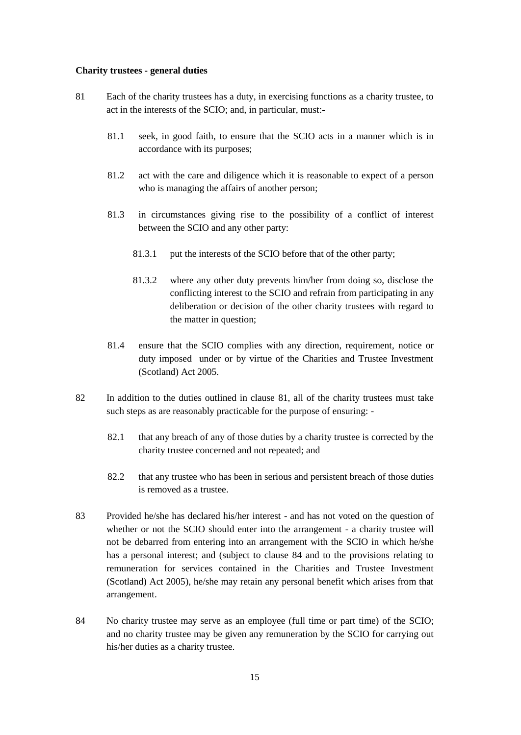#### **Charity trustees - general duties**

- <span id="page-15-0"></span>81 Each of the charity trustees has a duty, in exercising functions as a charity trustee, to act in the interests of the SCIO; and, in particular, must:-
	- 81.1 seek, in good faith, to ensure that the SCIO acts in a manner which is in accordance with its purposes;
	- 81.2 act with the care and diligence which it is reasonable to expect of a person who is managing the affairs of another person;
	- 81.3 in circumstances giving rise to the possibility of a conflict of interest between the SCIO and any other party:
		- 81.3.1 put the interests of the SCIO before that of the other party;
		- 81.3.2 where any other duty prevents him/her from doing so, disclose the conflicting interest to the SCIO and refrain from participating in any deliberation or decision of the other charity trustees with regard to the matter in question;
	- 81.4 ensure that the SCIO complies with any direction, requirement, notice or duty imposed under or by virtue of the Charities and Trustee Investment (Scotland) Act 2005.
- 82 In addition to the duties outlined in clause [81,](#page-15-0) all of the charity trustees must take such steps as are reasonably practicable for the purpose of ensuring: -
	- 82.1 that any breach of any of those duties by a charity trustee is corrected by the charity trustee concerned and not repeated; and
	- 82.2 that any trustee who has been in serious and persistent breach of those duties is removed as a trustee.
- 83 Provided he/she has declared his/her interest and has not voted on the question of whether or not the SCIO should enter into the arrangement - a charity trustee will not be debarred from entering into an arrangement with the SCIO in which he/she has a personal interest; and (subject to clause [84](#page-15-1) and to the provisions relating to remuneration for services contained in the Charities and Trustee Investment (Scotland) Act 2005), he/she may retain any personal benefit which arises from that arrangement.
- <span id="page-15-1"></span>84 No charity trustee may serve as an employee (full time or part time) of the SCIO; and no charity trustee may be given any remuneration by the SCIO for carrying out his/her duties as a charity trustee.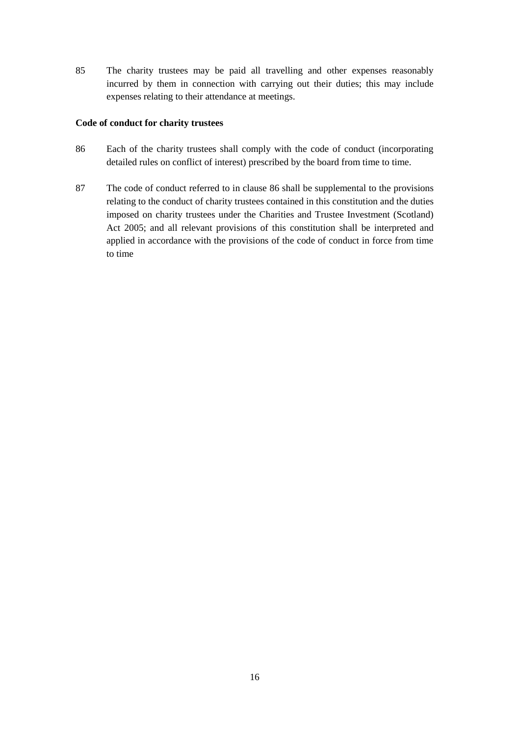85 The charity trustees may be paid all travelling and other expenses reasonably incurred by them in connection with carrying out their duties; this may include expenses relating to their attendance at meetings.

## **Code of conduct for charity trustees**

- <span id="page-16-0"></span>86 Each of the charity trustees shall comply with the code of conduct (incorporating detailed rules on conflict of interest) prescribed by the board from time to time.
- 87 The code of conduct referred to in clause [86](#page-16-0) shall be supplemental to the provisions relating to the conduct of charity trustees contained in this constitution and the duties imposed on charity trustees under the Charities and Trustee Investment (Scotland) Act 2005; and all relevant provisions of this constitution shall be interpreted and applied in accordance with the provisions of the code of conduct in force from time to time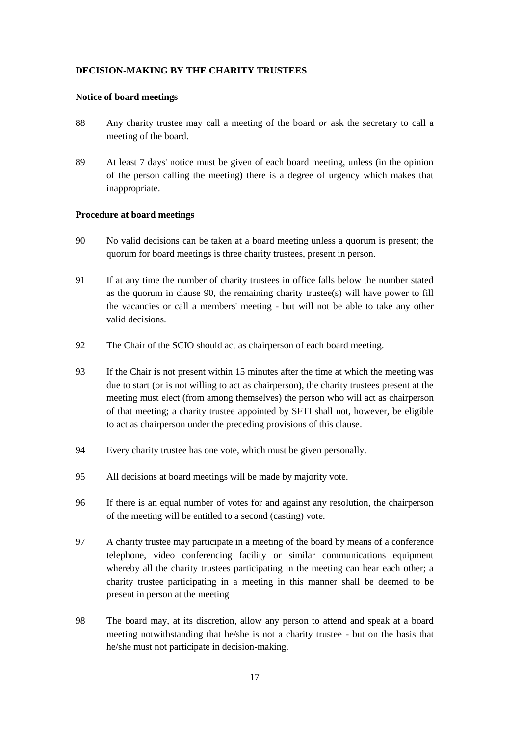## **DECISION-MAKING BY THE CHARITY TRUSTEES**

#### **Notice of board meetings**

- 88 Any charity trustee may call a meeting of the board *or* ask the secretary to call a meeting of the board.
- 89 At least 7 days' notice must be given of each board meeting, unless (in the opinion of the person calling the meeting) there is a degree of urgency which makes that inappropriate.

#### **Procedure at board meetings**

- <span id="page-17-0"></span>90 No valid decisions can be taken at a board meeting unless a quorum is present; the quorum for board meetings is three charity trustees, present in person.
- 91 If at any time the number of charity trustees in office falls below the number stated as the quorum in clause [90,](#page-17-0) the remaining charity trustee(s) will have power to fill the vacancies or call a members' meeting - but will not be able to take any other valid decisions.
- 92 The Chair of the SCIO should act as chairperson of each board meeting.
- 93 If the Chair is not present within 15 minutes after the time at which the meeting was due to start (or is not willing to act as chairperson), the charity trustees present at the meeting must elect (from among themselves) the person who will act as chairperson of that meeting; a charity trustee appointed by SFTI shall not, however, be eligible to act as chairperson under the preceding provisions of this clause.
- 94 Every charity trustee has one vote, which must be given personally.
- 95 All decisions at board meetings will be made by majority vote.
- 96 If there is an equal number of votes for and against any resolution, the chairperson of the meeting will be entitled to a second (casting) vote.
- 97 A charity trustee may participate in a meeting of the board by means of a conference telephone, video conferencing facility or similar communications equipment whereby all the charity trustees participating in the meeting can hear each other; a charity trustee participating in a meeting in this manner shall be deemed to be present in person at the meeting
- 98 The board may, at its discretion, allow any person to attend and speak at a board meeting notwithstanding that he/she is not a charity trustee - but on the basis that he/she must not participate in decision-making.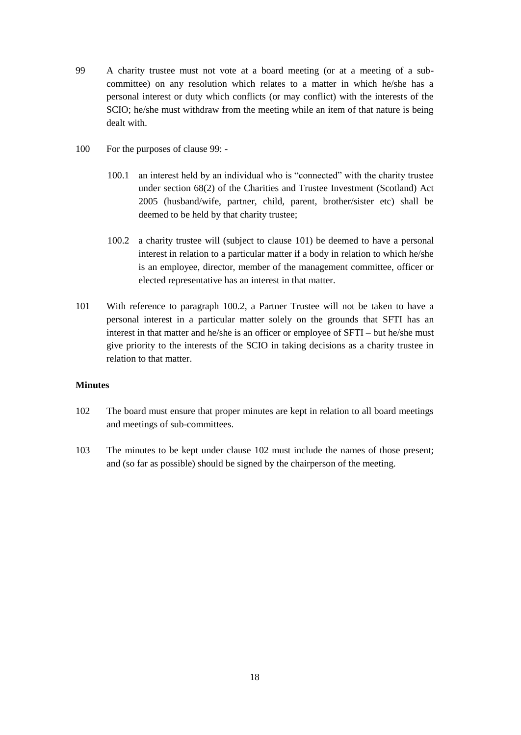- <span id="page-18-0"></span>99 A charity trustee must not vote at a board meeting (or at a meeting of a subcommittee) on any resolution which relates to a matter in which he/she has a personal interest or duty which conflicts (or may conflict) with the interests of the SCIO; he/she must withdraw from the meeting while an item of that nature is being dealt with.
- 100 For the purposes of clause [99:](#page-18-0)
	- 100.1 an interest held by an individual who is "connected" with the charity trustee under section 68(2) of the Charities and Trustee Investment (Scotland) Act 2005 (husband/wife, partner, child, parent, brother/sister etc) shall be deemed to be held by that charity trustee;
	- 100.2 a charity trustee will (subject to clause [101\)](#page-18-1) be deemed to have a personal interest in relation to a particular matter if a body in relation to which he/she is an employee, director, member of the management committee, officer or elected representative has an interest in that matter.
- <span id="page-18-2"></span><span id="page-18-1"></span>101 With reference to paragraph [100.2,](#page-18-2) a Partner Trustee will not be taken to have a personal interest in a particular matter solely on the grounds that SFTI has an interest in that matter and he/she is an officer or employee of SFTI – but he/she must give priority to the interests of the SCIO in taking decisions as a charity trustee in relation to that matter.

#### **Minutes**

- <span id="page-18-3"></span>102 The board must ensure that proper minutes are kept in relation to all board meetings and meetings of sub-committees.
- 103 The minutes to be kept under clause [102](#page-18-3) must include the names of those present; and (so far as possible) should be signed by the chairperson of the meeting.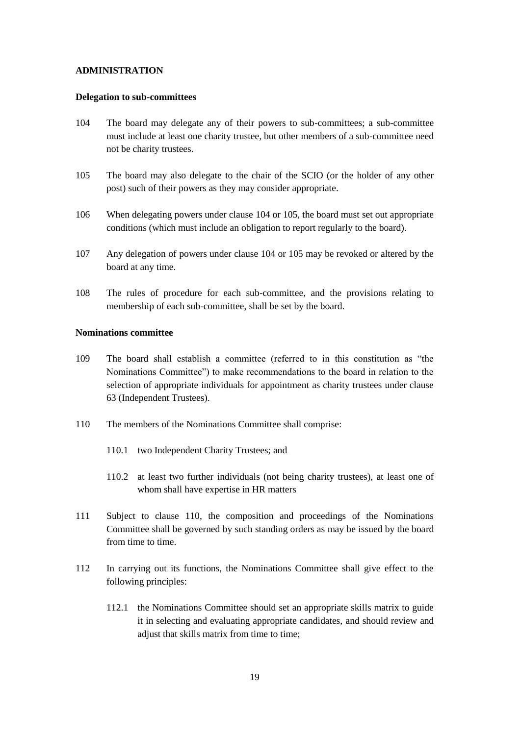#### **ADMINISTRATION**

#### **Delegation to sub-committees**

- <span id="page-19-1"></span>104 The board may delegate any of their powers to sub-committees; a sub-committee must include at least one charity trustee, but other members of a sub-committee need not be charity trustees.
- <span id="page-19-2"></span>105 The board may also delegate to the chair of the SCIO (or the holder of any other post) such of their powers as they may consider appropriate.
- 106 When delegating powers under clause [104](#page-19-1) or [105,](#page-19-2) the board must set out appropriate conditions (which must include an obligation to report regularly to the board).
- 107 Any delegation of powers under clause [104](#page-19-1) or [105](#page-19-2) may be revoked or altered by the board at any time.
- 108 The rules of procedure for each sub-committee, and the provisions relating to membership of each sub-committee, shall be set by the board.

#### **Nominations committee**

- <span id="page-19-0"></span>109 The board shall establish a committee (referred to in this constitution as "the Nominations Committee") to make recommendations to the board in relation to the selection of appropriate individuals for appointment as charity trustees under clause 63 (Independent Trustees).
- 110 The members of the Nominations Committee shall comprise:
	- 110.1 two Independent Charity Trustees; and
	- 110.2 at least two further individuals (not being charity trustees), at least one of whom shall have expertise in HR matters
- 111 Subject to clause 110, the composition and proceedings of the Nominations Committee shall be governed by such standing orders as may be issued by the board from time to time.
- 112 In carrying out its functions, the Nominations Committee shall give effect to the following principles:
	- 112.1 the Nominations Committee should set an appropriate skills matrix to guide it in selecting and evaluating appropriate candidates, and should review and adjust that skills matrix from time to time;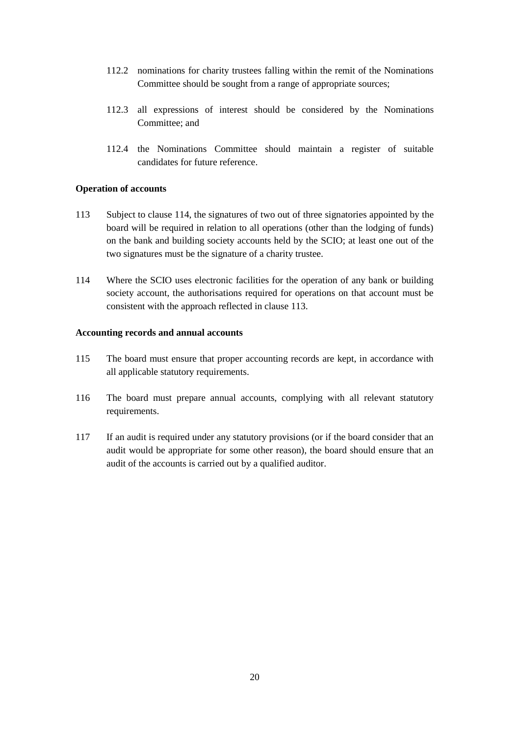- 112.2 nominations for charity trustees falling within the remit of the Nominations Committee should be sought from a range of appropriate sources;
- 112.3 all expressions of interest should be considered by the Nominations Committee; and
- 112.4 the Nominations Committee should maintain a register of suitable candidates for future reference.

### **Operation of accounts**

- 113 Subject to clause 114, the signatures of two out of three signatories appointed by the board will be required in relation to all operations (other than the lodging of funds) on the bank and building society accounts held by the SCIO; at least one out of the two signatures must be the signature of a charity trustee.
- 114 Where the SCIO uses electronic facilities for the operation of any bank or building society account, the authorisations required for operations on that account must be consistent with the approach reflected in clause 113.

#### **Accounting records and annual accounts**

- 115 The board must ensure that proper accounting records are kept, in accordance with all applicable statutory requirements.
- 116 The board must prepare annual accounts, complying with all relevant statutory requirements.
- 117 If an audit is required under any statutory provisions (or if the board consider that an audit would be appropriate for some other reason), the board should ensure that an audit of the accounts is carried out by a qualified auditor.